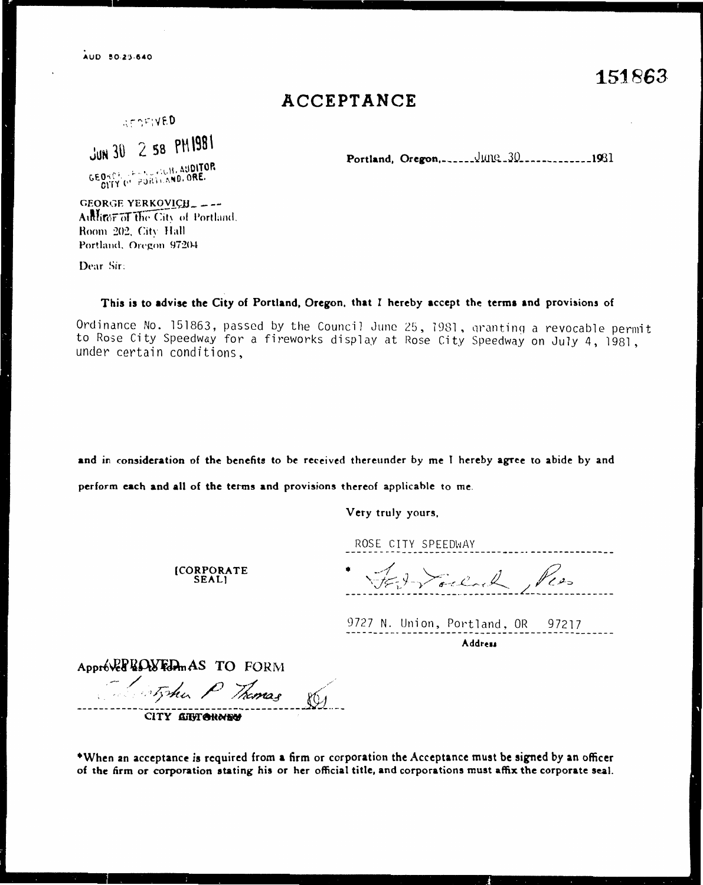## ACCEPTANCE

AFORIVED

JUN 30 2 58 PM1981

GEORGE PROVIDIBLE AUDITOR

Portland, Oregon, ........JUNG.30................1981

GEORGE YERKOVICH\_\_\_-Authror of the City of Portland. Room 202, City Hall Portland, Oregon 97204

Dear Sir:

## This is to advise the City of Portland, Oregon, that I hereby accept the terms and provisions of

Ordinance No. 151863, passed by the Council June 25, 1981, granting a revocable permit to Rose City Speedway for a fireworks display at Rose City Speedway on July 4, 1981, under certain conditions,

and in consideration of the benefits to be received thereunder by me I hereby agree to abide by and

perform each and all of the terms and provisions thereof applicable to me.

Very truly yours,

ROSE CITY SPEEDWAY

**[CORPORATE SEALI** 

FED Souland, Pers

9727 N. Union, Portland, OR 97217 Address

Approve ROWFONAS TO FORM

Fistphen P Thomas

CITY CITY CHOING

\*When an acceptance is required from a firm or corporation the Acceptance must be signed by an officer of the firm or corporation stating his or her official title, and corporations must affix the corporate seal.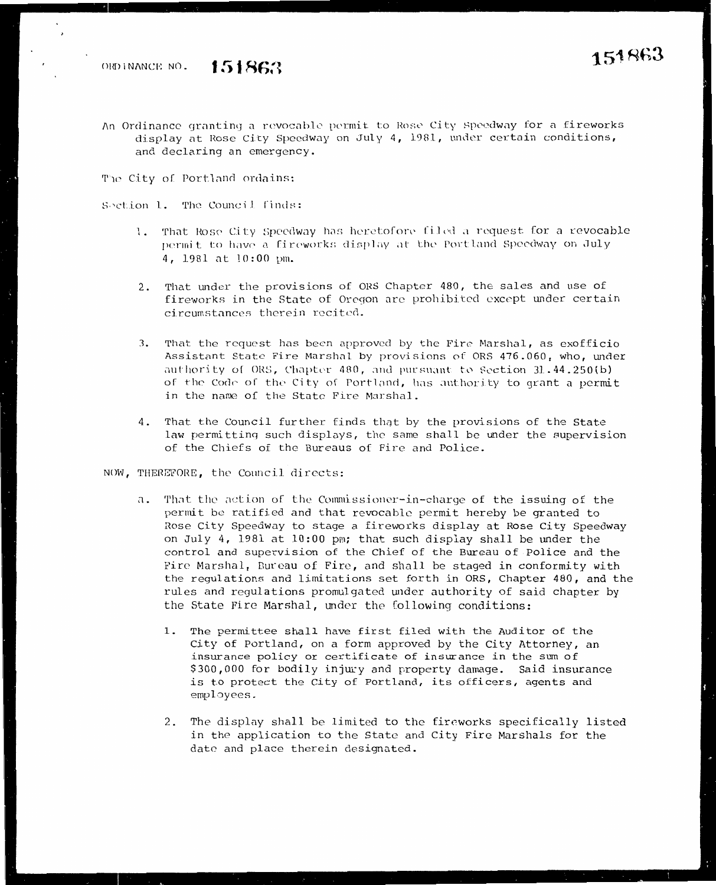An Ordinance granting a revocable permit to Rose City Speedway for a fireworks display at Rose City Speedway on July 4, 1981, under certain conditions, and declaring an emergency.

The City of Portland ordains:

Section 1. The Council finds:

- 1. That Rose City Speedway has heretofore filed a request for a revocable permit to have a fireworks display at the Portland Speedway on July 4, 1981 at 10:00 pm.
- 2. That under the provisions of ORS Chapter 480, the sales and use of fireworks in the State of Oregon are prohibited except under certain circumstances therein recited.
- That the request has been approved by the Fire Marshal, as exofficio 3. Assistant State Fire Marshal by provisions of ORS 476.060, who, under authority of ORS, Chapter 480, and pursuant to Section 31.44.250(b) of the Code of the City of Portland, has authority to grant a permit in the name of the State Fire Marshal.
- 4. That the Council further finds that by the provisions of the State law permitting such displays, the same shall be under the supervision of the Chiefs of the Bureaus of Fire and Police.

NOW, THEREFORE, the Council directs:

- a. That the action of the Commissioner-in-charge of the issuing of the permit be ratified and that revocable permit hereby be granted to Rose City Speedway to stage a fireworks display at Rose City Speedway on July 4, 1981 at 10:00 pm; that such display shall be under the control and supervision of the Chief of the Bureau of Police and the Fire Marshal, Bureau of Fire, and shall be staged in conformity with the regulations and limitations set forth in ORS, Chapter 480, and the rules and regulations promulgated under authority of said chapter by the State Fire Marshal, under the following conditions:
	- 1. The permittee shall have first filed with the Auditor of the City of Portland, on a form approved by the City Attorney, an insurance policy or certificate of insurance in the sum of \$300,000 for bodily injury and property damage. Said insurance is to protect the City of Portland, its officers, agents and employees.
	- 2. The display shall be limited to the fireworks specifically listed in the application to the State and City Fire Marshals for the date and place therein designated.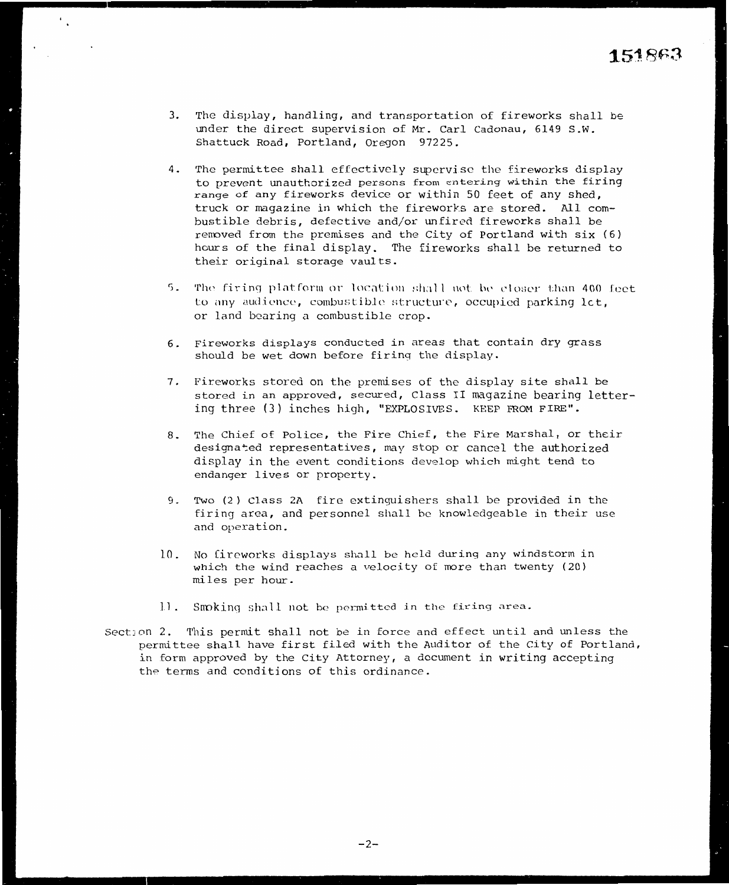- 3. The display, handling, and transportation of fireworks shall be under the direct supervision of Mr. Carl Cadonau, 6149 S.W. Shattuck Road, Portland, Oregon 97225.
- 4. The permittee shall effectively supervise the fireworks display to prevent unauthorized persons from entering within the firing range of any fireworks device or withjn 50 feet of any shed, truck or magazine in which the fireworks are stored. All combustible debris, defective and/or unfired fireworks shall be rennved from the premises and the City of Portland with six {6) hours of the final display. The fireworks shall be returned to their original storage vaults.
- 5. The firing platform or location shall not be eloser than 400 feet to any audience, combustible structure, occupied parking let, or land bearing a combustible crop.
- 6. Fireworks displays conducted in areas that contain dry grass should be wet down before firing the display.
- 7. Fireworks stored on the premises of the display site shall be stored in an approved, secured, Class II magazine bearing lettering three (3) inches high, "EXPLOSIVES. KEEP FROM FIRE".
- 8. The Chief of Police, the Fire Chief, the Fire Marshal, or their designated representatives, may stop or cancel the authorized display in the event conditions develop which wight tend to endanger lives or property.
- 9. Two (2) Class 2A fire extinguishers shall be provided in the firing area, and personnel shall be knowledgeable in their use and operation.
- 10. No fireworks displays shall be held during any windstorm in which the wind reaches a velocity of more than twenty  $(20)$ miles per hour.
- 11. Smoking shall not be permitted in the firing area.
- Section 2. This permit shall not be in force and effect until and unless the permittee shall have first filed with the Auditor of the City of Portland, in form approved by the City Attorney, a document in writing accepting the terms and conditions of this ordinance.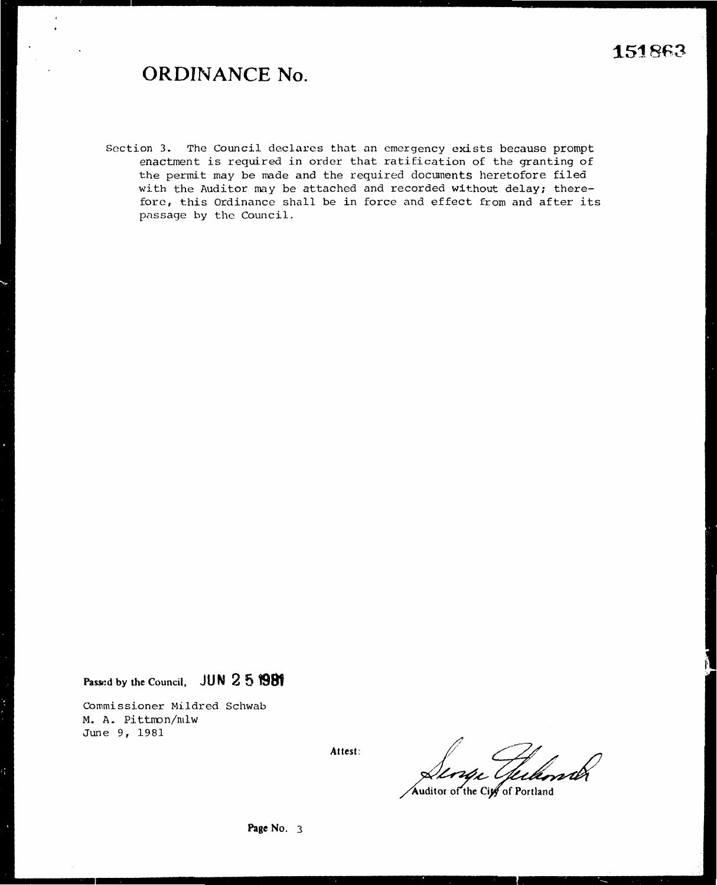## **ORDINANCE No.**

Section 3. The Council declares that an emergency exists because prompt enactment is required in order that ratification of the granting of the permit may be made and the required documents heretofore filed with the Auditor may be attached and recorded without delay; therefore, this Ordinance shall be in force and effect from and after its passage by the Council.

**Passi:d by the Council, JUN 2 5 1981** 

Commissioner Mildred Schwab M.A. Pittnon/mlw June 9, 1981

**Attest:** 

.<br>Julimi

Auditor of the City of Portland